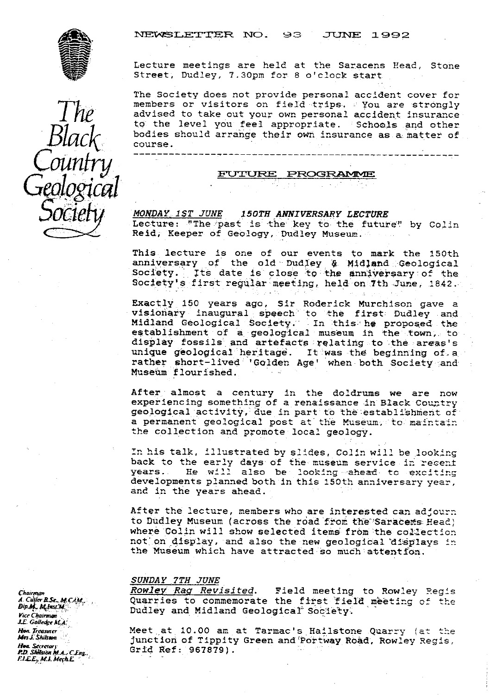**NEWSLETTER NO. 93 JUNE 1992** 



*The Black.* Counfr*ij* Lecture meetings are held at the Saracens Head, Stone Street, Dudley, 7.3Qpm for 8 o'clock start

The Society does not provide personal accident cover for members or visitors on field trips. You are strongly advised to take out your own personal accident insurance to the level you feel appropriate. Schools and other bodies should arrange their own insurance as a; matter of. course.

## <u>FU</u> *r rURE PROC ArdL4E*

M{ *N. •A Y 1ST JUNE .I. 50TH ANNIVERSARY LECTURE* **Honor 191 Song 1901 MANIVERSART LECTORE**<br>Lecture: "The past is the key to the future" by Colin Reid. Keeper of Geology, Dudley Museum.

This lecture is one of our events to mark the 150th anniversary of the old budley & Midland Geological Society. Its date is close to the anniversary of the Society's first regular meeting, held on 7th June, 1842.

Exactly 150 years ago, Sir Roderick Murchison gave a visionary inaugural speech to the first Dudley and Midland Geological Society. In this he proposed the<br>establishment of a geological museum in the town, to display fossils and artefacts relating to the areas's unique geological heritage. It was the beginning of a rather short-lived 'Golden Age' when both Society and **Muse na** flourished..

After almost a century in the doldrums we are now experiencing something of a renaissance in Black Country geological activity, due in part to the establishment of a permanent geological post at the Museum, to maintain the collection and promote local geology.

In his talk, illustrated by slides,  $Colin$  will be looking back to the early days of the museum service in recent<br>years. He will also be looking ahead to exciting He will also be looking ahead to exciting developments planned both in this 150th anniversary year, and in the years ahead.

After the lecture, members who are interested can adjourn to Dudley Museum (across the road from the Saracens Head) where Colin will show selected items from the collection not on display, and also the new geological displays in the Museum which have attracted so much attentfon.

SUNDAY 7TH JUNE<br>Rowley Rag Revisited. Field meeting to Rowley Regis Quarries to commemorate the first field meeting of the Dudley and Midland Geological Society.

Meet at 10.00 am at Tarmac's Hailstone Quarry (at the junction of Tippity Green and Portway Road, Rowley Regis, Grid Ref: 967679).

*Chaarrna' A. Chary se* . *M* Crfkl,. **Dip M.. M1msM** *Vice Chairman* **J.E. Golledge M.A.** *li***l y** *,.* **Treasurer** Mrs J. Shils**io**n **Hou. Secretary fLL . M.J. AlefhL**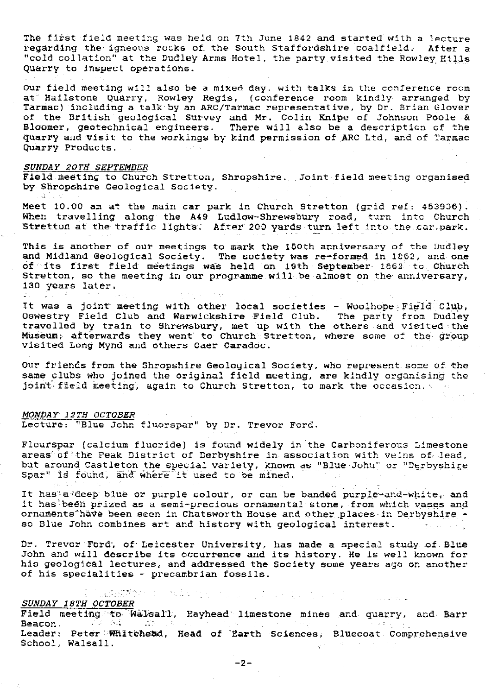The first field meeting was held on 7th June 1842 and started with a lecture regarding the igneous rocks of the South Staffordshire coalfield. After a "cold collation" at the Dudley Arms Hotel, the party visited the Rowley HiL1s Quarry to Inspect operations.

Our field meeting will also be a mixed day, with talks in the conference room at Hailstone Quarry, Rowley Regis, (conference room kindly arranged by Tarmac) including a talk by an ARC/Tarmac representative, by Dr. Brian Glover *of the British geological Survey and Mr. Colin Knipe of* Johnson Poole • & Bloomer, geotechnical engineers. There will also be a description of the quarry and visit to the workings by kind permission of ARC Ltd, and of Tarmac Quarry Products.

### SUNDAY 20Th' SEPTEMBER

Field meeting to Church Stretton, Shropshire. Joint field meeting organised by Shropshire Geological Society.

Meet 10.00 am at the main car park in Church Stretton (grid ref: 453936) . When travelling along the A49 Ludlow-Shrewsbury road, turn into Church Stretton at the traffic. lights: After 200 yards turn left into the car-park.

This is another of our meetings to mark the 150th anniversary of the Dudley and Midland Geological Society. The society was re-formed in 1862, and one of its first field meetings was held on 19th September 1862 to Church Stretton, so the meeting in our programme will be almost on the anniversary, 130 years later.

It **was** a joint' meeting with other local societies - *Woolhope Field- Club, Oswestry Field Club and* Warwickshire Field Club. The party from Dudley travelled by train to Shrewsbury, met up with the others and visited the Museum; afterwards they went' to Church Stretton, where some of the group visited Long Mynd and others Caer Caradoc.

Our friends from the Shropshire Geological Society, who represent some of the same clubs who joined the original field meeting, are kindly organising the joint field meeting, again to Church Stretton, to mark the occasion.

### *MONDAY' 1 2TH OCTOBER*

Lecture: "Blue John fluorspar" by Dr. Trevor Ford.

Flourspar (calcium fluoride) is found widely in the Carboniferous Limestone areas' of the Peak District of Derbyshire in association with veins of lead, but around Castleton the special variety, known as "Blue-John" or "Derbyshire Spar" is found, and where it used to be mined

It has'a'deep blue or purple colour, or can be banded purple-and-white, and it has been prized as a semi-precious ornamental stone, from which vases and ornaments have been seen in Chatsworth House and other places in Derbyshire so Blue John combines art and history with geological interest.

Dr. Trevor Ford, of Leicester University, has made a special study of Blue John and will describe its occurrence and its history. He is well known for his geological lectures, and addressed the Society some years ago on another of his specialities - precambrian fossils.

# udente *\$UNDA Y 18TH OCTOBER*

Field meeting to Walsall, Hayhead limestone mines and quarry, and Barr Beacon. Beacon. Leader: Peter Whitehead, Head of Earth Sciences, Bluecoat Comprehensive School, Walsall.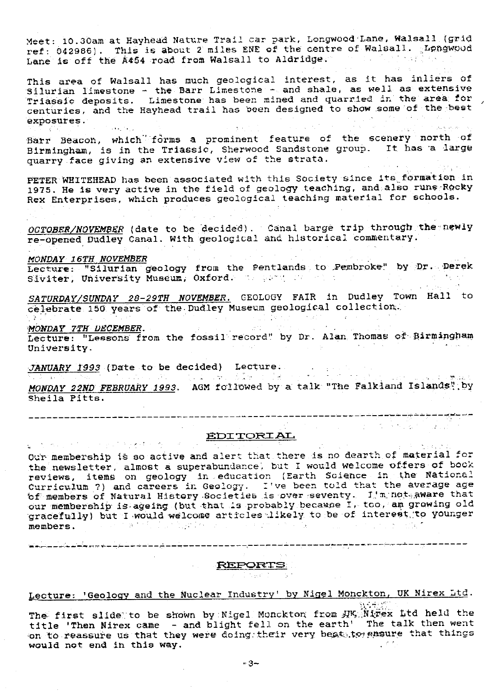Meet: 10.30am at Hayhead Nature Trail car park, Longwood Lane, Walsall (grid ref: 042986). This is about 2 miles ENE of the centre of Walsall. Longwood Lane is off the A454 road from Walsall to Aldridge.

This area of Walsall has much geological interest, as it has inliers of  ${\tt Silurian}$  limestone - the Barr Limestone - and shale, as well as extensiv Triassic deposits. Limestone has been mined and quarried in the area for centuries, and the Hayhead trail has been designed to show some of the best exposures.

Barr Beacon, which forms a prominent feature of the scenery north of Birmingham, is in the Triassic, Sherwood Sandstone group. It has a large quarry face giving an extensive view of the strata. 网络松叶树

PETER WHITEHEAD has been associated with this Society since its formation in 1975. He is very active in the field of geology teaching, and also runs Rocky Rex Enterprises, which produces geological teaching material for schools.

OCTOBER/NOVEMBER (date to be decided). Canal barge trip through the newly re-opened Dudley Canal. With geological and historical commentary.

MONDAY 16TH NOVEMBER

M*ONDAY 16TH NOVEMBER*<br>Lecture: "Silurian geology from the Pentlands to Pembroke" by Dr. Derek Siviter, University Museum, Oxford.

SATURDAY/SUNDAY 28-29TH NOVEMBER. GEOLOGY FAIR in Dudley Town Hall to celebrate 150 years of the Dudley Museum geological collection.

*'MONDAY 7TH iJECEMBER .*

Lecture: "Lessons from the fossil record" by Dr. Alan Thomas of Birmingham University,

 $\mathcal{L}^{\text{max}}_{\text{max}}$  , where  $\mathcal{L}^{\text{max}}_{\text{max}}$ 

A. S. S. S. S. S. S. S. S. S. S. S.

*JANUARY 1993* (Date to be decided) Lecture.

*MONDAY 22ND FEBRUARY 1993 .* AGM followed by a talk "The Falkiand Islands?' by Sheila Pitts.

EDITORIAL

 $\sim 10^{11}$  and  $\sim 10^{11}$ 

Our membership is so active and alert that there is no dearth of material for the newsletter, almost a superabunlance. but I would welcome offers of book reviews, items on geology in education (Earth Science in the National Curriculum ?) and careers in Geology. I've been told that the average age<br>`of members of Natural History Societies is over seventy. I'm not aware that our membership is ageing (but that is probably because I, too, am growing old gracefully) but I would welcome articles likely to be of interest to younger members. members.

> REPORTS **The Secret State**

-- - mot --- - ---------\_--- - --- -----\_ -- \_,---- -- --- - - ----\_-

Lecture: 'Geology and the Nuclear Industry' by Nigel Monckton, UK Nirex Ltd.

The first slide to be shown by Nigel Monckton from  $\mathcal{H} \mathcal{K} / \mathcal{N}$  if a held the title 'Then Nirex came - and blight feli on the earth' The talk then went on to reassure us that they were doing their very best to ensure that things would not end in this way. would not end In this way.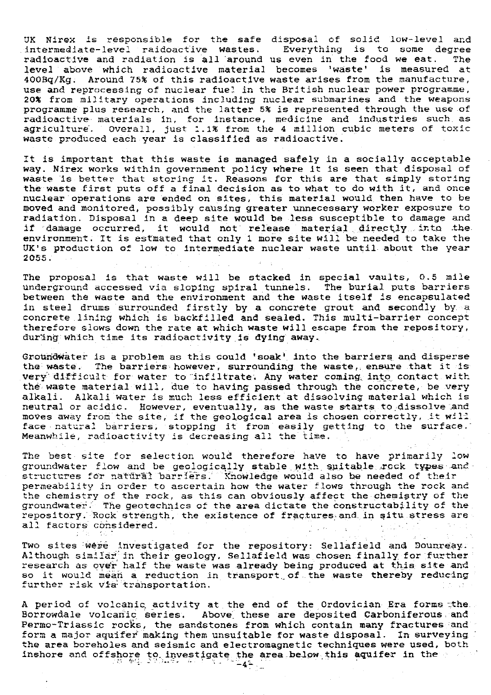JK Nirex is responsible for the safe disposal of solid low-level and intermediate-level raidoactive wastes. Everything is to some degree radioactive and radiation is all around us even in the food we eat. level above which radioactive material becomes 'waste' is measured at  $400\,\mathrm{Bq/Kg}$ . Around 75% of this radioactive waste arises from the manufacture use and reprocessing of nuclear fuel in the British nuclear power programme, 20% from military operations including nuclear submarines and the weapons programme plus research, and the latter 5% is represented through the use of radioactive , materials in, for instance, medicine and *industries such. as* agriculture'. Overall, just 1.1% from the 4 million cubic meters of toxic waste produced each year is classified as radioactive.

It is important that this waste is managed safely in a socially acceptable way. Nirex works within government policy where it is seen that disposal of waste is better that storing it. Reasons for this are that simply storing the waste first puts off *a* final decision as to what to do with it, and once nuclear operations are ended *on* sites, this material would then have to be moved and monitored, possibly causing greater unnecessary worker exposure to  $\sim$ radiation. Disposal in a deep site would be less susceptible to damage and if damage occurred, it would not release material directly into the environment. It is estmated that only 1 more site will be needed to take the UK's production of low to intermediate nuclear waste until about the year  $2055.$ 

The proposal is that waste will be stacked in special vaults, 0.5 mile underground accessed via sloping spiral tunnels. The burial puts barriers between the waste and the environment and the waste itself is encapsulated in steel drums surrounded firstly by a concrete grout and secondly by. a concrete lining which is backfilled and sealed. This multi-barrier concept therefore slows down the rate at which waste will escape from the repository, during which time its radioactivity is **dying away.**

Groundwater is a problem as this could 'soak' into the barriers and disperse the waste. The barriers however, surrounding the waste, ensure that it is very difficult for water to infiltrate. Any water coming into contact with the waste material will, due to having passed through the concrete, be very alkali. Alkali water is much less efficient at dissolving material which is neutral or acidic. However, eventually, as the waste starts to dissolve and moves away from the site, if the geological area is chosen correctly, it will face natural barriers; stopping it from easily getting to the surface. Meanwhile, radioactivity is decreasing all the time.  $\blacksquare$ 

The best- site for selection would therefore have to have primarily low groundwater flow and be geologically stable with suitable rock types and structures for natural barriers. Knowledge would also be needed of their permeability in order to ascertain how the water flows through the rock and the chemistry of the rock, as this can obviously affect the chemistry of the groundwater $\leq$  The geotechnics of the area dictate the constructability of the repository. Rock strength, the existence of fractures and in situ stress are all factors considered.

Two sites were investigated for the repository: Sellafield and Dounreay. Although similar in their geology, Sellafield was chosen finally for further research as over half the waste **was** already being produced **at** this **site** and so it would mean a reduction in transport of the waste thereby reducing further risk via transportation.

A period of volcanic activity at the end of the Ordovician Era forms the. Borrowdale volcanic series. Above these are deposited Carboniferous and Permo-Triassic rocks, the sandstones from which contain many fractures and form a major aquifer making them unsuitable for waste disposal. In surveying. the area boreholes and seismic and electromagnetic techniques were used, both inshore and offshore to investigate the area below this aquifer in the  $\sim$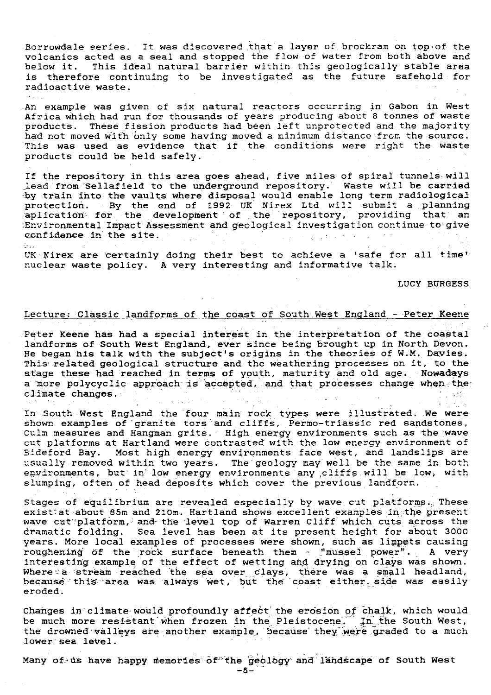Borrowdale series. It was discovered that a layer of brockram on top of the volcanics acted as a seal and stopped the flow of water from both above and below it. This ideal natural barrier within this geologically stable area is therefore continuing to be investigated as the future safehold for radioactive waste.

 $\mathcal{A}(\mathcal{A})$  and

 $\odot$  . .

An example was given of six natural reactors occurring in Gabon in West Africa which had run for thousands of years producing about 8 tonnes of waste products. These fission products had been left unprotected and the majority had not moved with only some having moved a minimum distance from the source. This was used as evidence that if the conditions were right the waste products could be held safely.

If the repository in this area goes ahead, five miles of spiral tunnels. will lead from'Sellafield to the underground repository. Waste will be carried by train into the vaults where disposal would enable long term radiological protection. By the end of 1992 UK Nirex Ltd will submit a planning aplication for the development of the repository, providing that an :Environmental Impact Assessment and geological investigation continue to give confidence in the site.

UK. Nirex are certainly doing their best to achieve a 'safe for all time' nuclear waste policy. A very interesting and informative talk.

LUCY BURGESS

الهابا الحادات والمع

# Lecture: Classic landforms of the coast of South West England - Peter Keene

Peter Keene has had a special interest in the interpretation of the coastal landforms of South West England, ever since being brought up in North Devon. He began his talk with the subject's origins in the theories of W.M. Davies. This related geological structure and the weathering processes on it, to the stage these had reached in terms of youth, maturity and old age. Nowadays a more polycyclic approach is accepted, and that processes change when the climate changes. climate changes.

In South West England the four main rock types were illustrated. We were *shown* examples of granite tors and cliffs, Permo-triassic red sandstones, Culm measures and Hangman grits. High energy environments such as the wave cut platforms at Hartland were contrasted with the low energy environment of Bideford Bay. Most high energy environments face west, and landslips are usually removed within two years. The geology may well be the same in both environments, but in low energy environments any cliffs will be low, with slumping, often of head deposits which cover the previous landform.

Stages of equilibrium are revealed especially by wave cut platforms... These exist at about 85m and 210m. Hartland shows excellent examples in the present wave cut platform, and the level top of Warren Cliff which cuts across the dramatic folding. Sea level has been at its present height for about 3000 years. More local examples of processes were shown, such as *limpets causing* roughening of the rock surface beneath them - "mussel power". A very interesting example of the effect of *wetting and* drying on clays was shown. Interesting example of the effect of wetting and drying on trays was shown.<br>Where a stream reached the sea over clays, there was a small headland, because this area was always wet, but the coast either side was easily eroded.

Changes in'climate would profoundly affect' the erosion of chalk, which would be much more resistant when frozen in the Pleistocene. In the South West, the drowned valleys are another example, because they were graded to a much lower sea level.

Many of ts have happy memories of the geology and landscape of South West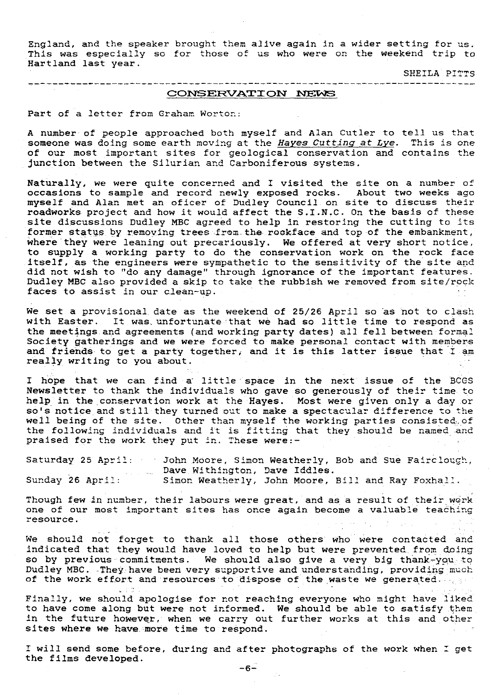England, and the speaker brought them alive again in a wider setting for us. This was especially so for those of us who were on the weekend trip to Hartland last year.

SHEILA PITTS

# CONSERVATION NEWS

--------------

Part of a letter from Graham Worton:

A number- of people approached both myself and Alan Cutler to tell us that someone was doing some earth moving at the Hayes Cutting at Lye. This is one of our most important sites for geological conservation and contains the junction between the Silurian and Carboniferous systems.

Naturally, we were quite concerned and I visited the site on a number of occasions to sample and record newly exposed rocks. About two weeks ago myself and Alan met an oficer of Dudley Council on site to discuss their roadworks project and how it would affect the S.I.N.C. On the basis of these site discussions Dudley MBC agreed to help in restoring the cutting to its former status by removing trees from the rockface and top of the embankment, where they were leaning out precariously. We offered at very short notice, to supply a working party to do the conservation work on the rock face itself, as the engineers were sympathetic to the sensitivity of the site and did not wish to "do any damage" through ignorance of the important features. Dudley MBC also provided a skip to take the rubbish we removed from site/rock faces to assist in our clean-up.

We set a provisional date as the weekend of 25/26 April so as not to clash with Easter. It was unfortunate that we had so little time to respond as the meetings and agreements (and working party dates) all fell between formal Society gatherings and we were forced to make personal contact with members and friends to get a party together, and it is this latter issue that I am really writing to you about.

I hope that we can find a little space in the next issue of the BCGS Newsletter to thank the individuals who gave so generously of their time to help in the conservation work at the Hayes. Most were given only a day or so's notice and still they turned out to make a spectacular difference to the well being of the site. Other than myself the working parties consisted,  $\rho$ the following individuals and it is fitting that they should be named and praised for the work they put in. These were:-

Saturday 25 April: - John Moore, Simon Weatherly, Bob and Sue Fairclough, Dave Withington, Dave Iddles. Sunday 26 April: Simon Weatherly, John Moore, Bill and Ray Foxhall.

Though few in number, their labours were great, and as a result of their work one of our most important sites has once again become a valuable teaching resource.

We should not forget to thank all those others who were contacted and indicated that they would have loved to help but were prevented from doing so by previous commitments. We should also give a very big thank-you to Dudley MBC. They have been very supportive and understanding, providing much of the work effort and resources to dispose of the waste we generated.

Finally, we should apologise for not reaching everyone who might have liked to have come along but were not informed. We should be able to satisfy them. in the future however, when we carry out further works at this and other sites where we have, more time to respond.

T will send some before, during and after photographs of the work when 1 get the films developed.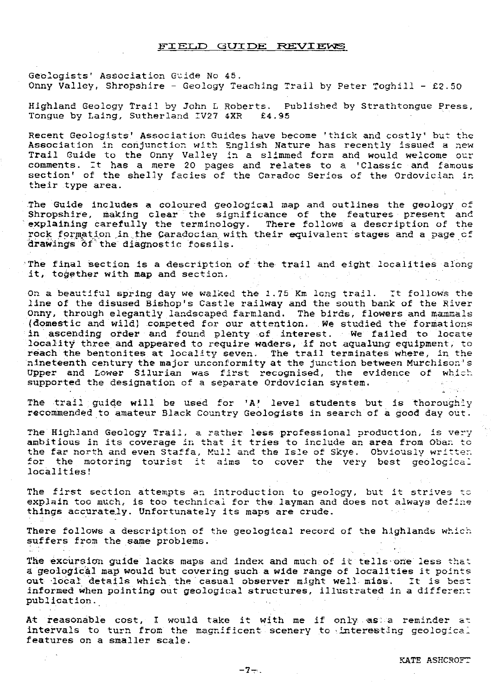### FIELD GUIDE REVIEWS

Geologists' Association Guide *No 45.* Onny Valley, Shropshire - Geology Teaching Trail by Peter Toghill - £2.50

Highland Geology Trail by John L Roberts. Published by Strathtongue Press, Tongue by Laing, Sutherland IV27 4XR

Recent Geologists' Association Guides have become 'thick and costly' but the Association in conjunction with English Nature has recently issued a new Trail Guide to the Onny Valley in a slimmed form and would welcome our comments. It has a mere 20 pages and relates to a 'Classic and famous section' of the shelly fades of the Caradoc Series of the Ordovician in their type area.

The Guide includes a coloured geological map and outlines the geology of Shropshire, making **clear the significance of the features present and explaining carefully the terminology.** There follows a description of the rock formation in the Caradocian with their equivalent stages and a page of drawings of the diagnostic fossils.

The final section is a description of the trail and. eight. localities along it, together *with map and section.*

On a beautiful spring day we walked the 1.75 Km long trail. It follows the line of the disused Bishop's Castle railway and the south bank of the River Onny, through elegantly landscaped farmland. The birds, flowers and mammals {domestic and wild) competed for our attention. We studied the formations in ascending order and found plenty of interest. We failed to locate locality three and appeared to require waders, if not aqualung equipment, to reach the bentonites at locality seven. The trail terminates where, in the nineteenth century the major unconformity at the junction between Murchison's Upper and Lower Silurian was first recognised, the evidence of which supported the designation of a separate Ordovician system.

The trail guide **[will](http://will.be)**[.](http://will.be) [be](http://will.be) used for 'A' level students but is thoroughly recommended to amateur Black Country Geologists in search of a good day out.

The Highland Geology Trail, a rather less professional production, is very ambitious in its coverage in that it tries to *include an* area from Cban *to* the far north and even Staffa, Mull and the Isle of Skye. Obviously written for the motoring tourist it aims to cover the very best geological localities!

The first section attempts an introduction to geology, but it strives to explain too much, is too technical for the layman and does not always define things accurately. Unfortunately its maps are crude.

There follows a description of the geological record of the highlands which suffers from the same problems.

The excursion guide lacks maps and index and much of it tells one less that a geological map would but covering such a wide range of localities it points out local details which the casual **observer** might well miss. It is best informed when pointing **out geological structures,** illustrated in a different publication.

At reasonable cost, I would take it with me if only as a reminder at intervals to turn from the magnificent scenery to interesting geological features on a smaller scale.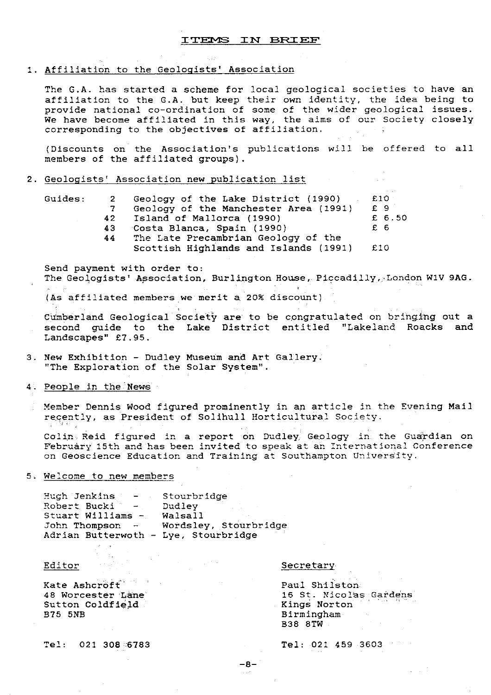# 1. Affiliation to the Geologists' Association

The G.A. has started a scheme for local geological societies to have an affiliation to the G.A. but keep their own identity, the idea being to provide national co-ordination of some of the wider geological issues. We have become affiliated in this way, the aims of our Society closely corresponding to the objectives of affiliation.

(Discounts on the Association's publications will be offered to all members of the affiliated groups).

# 2. Geologists' Association new publication\_ list

| Guides: |    | Geology of the Lake District (1990)   | £10    |
|---------|----|---------------------------------------|--------|
|         |    | Geology of the Manchester Area (1991) | £9     |
|         | 42 | Island of Mallorca (1990)             | £ 6.50 |
|         | 43 | Costa Blanca, Spain (1990)            | £ 6    |
|         | 44 | The Late Precambrian Geology of the   |        |
|         |    | Scottish Highlands and Islands (1991) | £10    |
|         |    |                                       |        |

Send payment with order to: The Geologists' Association, Burlington House, Piccadilly, London W1V 9AG.

(As affiliated members we merit a 20% discount).

Cumberland Geological Society are to be congratulated on bringing out a second guide to the Lake District entitled "Lakeland Roacks and Landscapes" £7.95.

3. New Exhibition - Dudley Museum and. Art Gallery. "The Exploration of the Solar System".

4. People in the News

Member Dennis Wood figured prominently in an article in the Evening Mail recently, as President of Solihull Horticultural Society.

Colin Reid figured in a report on Dudley, Geology in the Guardian on February 15th and has been invited to speak at an International Conference on Geoscience Education and Training at Southampton University.

# 5. Welcome to new members

| Huch Jenkins<br>$\sim 100$ km s $^{-1}$   | Stourbridge           |
|-------------------------------------------|-----------------------|
| Robert Bucki<br><b>Contract Contract</b>  | Dudley                |
| Stuart Williams -                         | Walsall               |
| John Thompson<br>$\overline{\phantom{a}}$ | Wordsley, Stourbridge |
| Adrian Butterwoth - Lye, Stourbridge      |                       |

Exate Ashcroft (1999) Nate Ashcroft (1999) Nate Ashcroft (1999) Paul Shilston.<br>1999 - Paul Shilston.<br>1999 - Paul St. Nicolas Sutton Coldfield<br>B75 5NB

## Editor Secretary Secretary

16 St. Nicolas Gardens<br>Kings Norton Birmingham B38 8TW

Tel: 021 **308:6783** Tel: 021 459 3603 ,